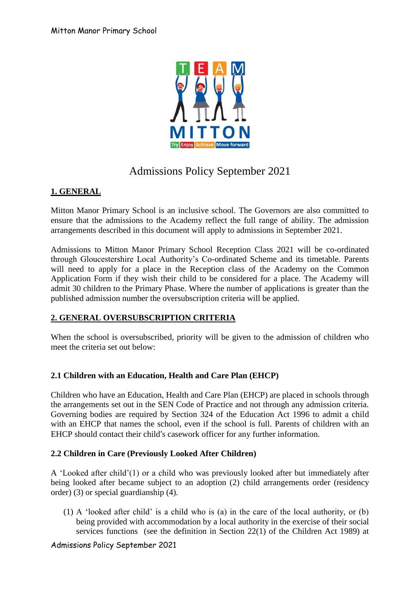

# Admissions Policy September 2021

# **1. GENERAL**

Mitton Manor Primary School is an inclusive school. The Governors are also committed to ensure that the admissions to the Academy reflect the full range of ability. The admission arrangements described in this document will apply to admissions in September 2021.

Admissions to Mitton Manor Primary School Reception Class 2021 will be co-ordinated through Gloucestershire Local Authority's Co-ordinated Scheme and its timetable. Parents will need to apply for a place in the Reception class of the Academy on the Common Application Form if they wish their child to be considered for a place. The Academy will admit 30 children to the Primary Phase. Where the number of applications is greater than the published admission number the oversubscription criteria will be applied.

## **2. GENERAL OVERSUBSCRIPTION CRITERIA**

When the school is oversubscribed, priority will be given to the admission of children who meet the criteria set out below:

## **2.1 Children with an Education, Health and Care Plan (EHCP)**

Children who have an Education, Health and Care Plan (EHCP) are placed in schools through the arrangements set out in the SEN Code of Practice and not through any admission criteria. Governing bodies are required by Section 324 of the Education Act 1996 to admit a child with an EHCP that names the school, even if the school is full. Parents of children with an EHCP should contact their child's casework officer for any further information.

## **2.2 Children in Care (Previously Looked After Children)**

A 'Looked after child'(1) or a child who was previously looked after but immediately after being looked after became subject to an adoption (2) child arrangements order (residency order) (3) or special guardianship (4).

(1) A 'looked after child' is a child who is (a) in the care of the local authority, or (b) being provided with accommodation by a local authority in the exercise of their social services functions (see the definition in Section 22(1) of the Children Act 1989) at

## Admissions Policy September 2021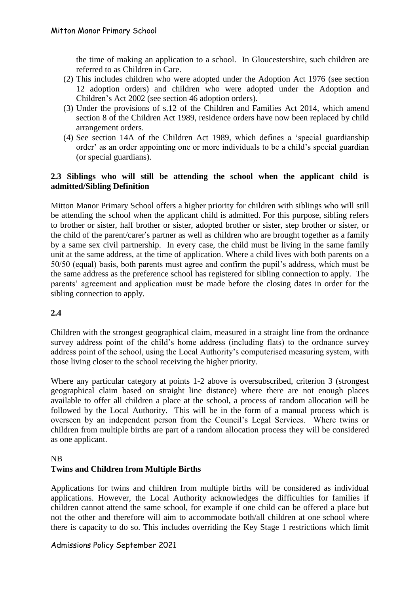the time of making an application to a school. In Gloucestershire, such children are referred to as Children in Care.

- (2) This includes children who were adopted under the Adoption Act 1976 (see section 12 adoption orders) and children who were adopted under the Adoption and Children's Act 2002 (see section 46 adoption orders).
- (3) Under the provisions of s.12 of the Children and Families Act 2014, which amend section 8 of the Children Act 1989, residence orders have now been replaced by child arrangement orders.
- (4) See section 14A of the Children Act 1989, which defines a 'special guardianship order' as an order appointing one or more individuals to be a child's special guardian (or special guardians).

## **2.3 Siblings who will still be attending the school when the applicant child is admitted/Sibling Definition**

Mitton Manor Primary School offers a higher priority for children with siblings who will still be attending the school when the applicant child is admitted. For this purpose, sibling refers to brother or sister, half brother or sister, adopted brother or sister, step brother or sister, or the child of the parent/carer's partner as well as children who are brought together as a family by a same sex civil partnership. In every case, the child must be living in the same family unit at the same address, at the time of application. Where a child lives with both parents on a 50/50 (equal) basis, both parents must agree and confirm the pupil's address, which must be the same address as the preference school has registered for sibling connection to apply. The parents' agreement and application must be made before the closing dates in order for the sibling connection to apply.

## **2.4**

Children with the strongest geographical claim, measured in a straight line from the ordnance survey address point of the child's home address (including flats) to the ordnance survey address point of the school, using the Local Authority's computerised measuring system, with those living closer to the school receiving the higher priority.

Where any particular category at points 1-2 above is oversubscribed, criterion 3 (strongest geographical claim based on straight line distance) where there are not enough places available to offer all children a place at the school, a process of random allocation will be followed by the Local Authority. This will be in the form of a manual process which is overseen by an independent person from the Council's Legal Services. Where twins or children from multiple births are part of a random allocation process they will be considered as one applicant.

#### NB

## **Twins and Children from Multiple Births**

Applications for twins and children from multiple births will be considered as individual applications. However, the Local Authority acknowledges the difficulties for families if children cannot attend the same school, for example if one child can be offered a place but not the other and therefore will aim to accommodate both/all children at one school where there is capacity to do so. This includes overriding the Key Stage 1 restrictions which limit

## Admissions Policy September 2021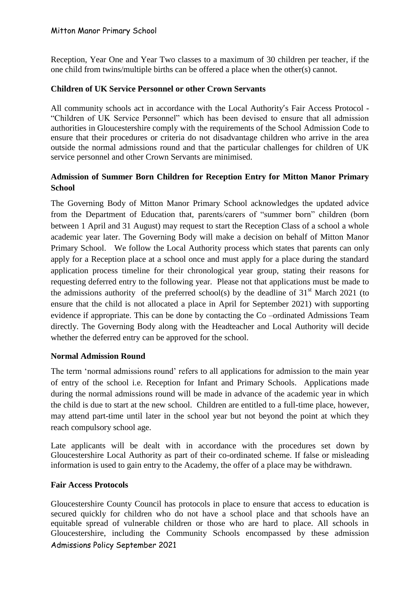#### Mitton Manor Primary School

Reception, Year One and Year Two classes to a maximum of 30 children per teacher, if the one child from twins/multiple births can be offered a place when the other(s) cannot.

## **Children of UK Service Personnel or other Crown Servants**

All community schools act in accordance with the Local Authority's Fair Access Protocol - "Children of UK Service Personnel" which has been devised to ensure that all admission authorities in Gloucestershire comply with the requirements of the School Admission Code to ensure that their procedures or criteria do not disadvantage children who arrive in the area outside the normal admissions round and that the particular challenges for children of UK service personnel and other Crown Servants are minimised.

## **Admission of Summer Born Children for Reception Entry for Mitton Manor Primary School**

The Governing Body of Mitton Manor Primary School acknowledges the updated advice from the Department of Education that, parents/carers of "summer born" children (born between 1 April and 31 August) may request to start the Reception Class of a school a whole academic year later. The Governing Body will make a decision on behalf of Mitton Manor Primary School. We follow the Local Authority process which states that parents can only apply for a Reception place at a school once and must apply for a place during the standard application process timeline for their chronological year group, stating their reasons for requesting deferred entry to the following year. Please not that applications must be made to the admissions authority of the preferred school(s) by the deadline of  $31<sup>st</sup>$  March 2021 (to ensure that the child is not allocated a place in April for September 2021) with supporting evidence if appropriate. This can be done by contacting the Co –ordinated Admissions Team directly. The Governing Body along with the Headteacher and Local Authority will decide whether the deferred entry can be approved for the school.

#### **Normal Admission Round**

The term 'normal admissions round' refers to all applications for admission to the main year of entry of the school i.e. Reception for Infant and Primary Schools. Applications made during the normal admissions round will be made in advance of the academic year in which the child is due to start at the new school. Children are entitled to a full-time place, however, may attend part-time until later in the school year but not beyond the point at which they reach compulsory school age.

Late applicants will be dealt with in accordance with the procedures set down by Gloucestershire Local Authority as part of their co-ordinated scheme. If false or misleading information is used to gain entry to the Academy, the offer of a place may be withdrawn.

## **Fair Access Protocols**

Admissions Policy September 2021 Gloucestershire County Council has protocols in place to ensure that access to education is secured quickly for children who do not have a school place and that schools have an equitable spread of vulnerable children or those who are hard to place. All schools in Gloucestershire, including the Community Schools encompassed by these admission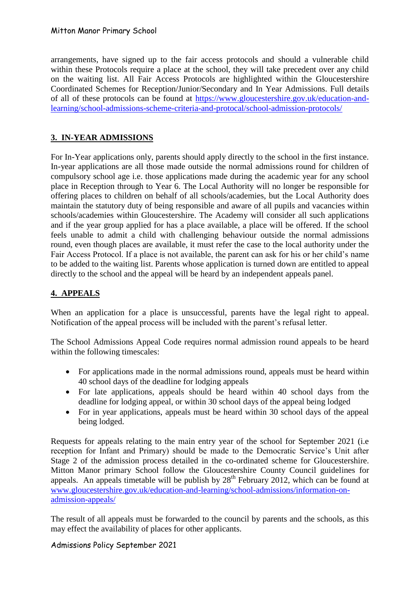arrangements, have signed up to the fair access protocols and should a vulnerable child within these Protocols require a place at the school, they will take precedent over any child on the waiting list. All Fair Access Protocols are highlighted within the Gloucestershire Coordinated Schemes for Reception/Junior/Secondary and In Year Admissions. Full details of all of these protocols can be found at [https://www.gloucestershire.gov.uk/education-and](https://www.gloucestershire.gov.uk/education-and-learning/school-admissions-scheme-criteria-and-protocal/school-admission-protocols/)[learning/school-admissions-scheme-criteria-and-protocal/school-admission-protocols/](https://www.gloucestershire.gov.uk/education-and-learning/school-admissions-scheme-criteria-and-protocal/school-admission-protocols/)

# **3. IN-YEAR ADMISSIONS**

For In-Year applications only, parents should apply directly to the school in the first instance. In-year applications are all those made outside the normal admissions round for children of compulsory school age i.e. those applications made during the academic year for any school place in Reception through to Year 6. The Local Authority will no longer be responsible for offering places to children on behalf of all schools/academies, but the Local Authority does maintain the statutory duty of being responsible and aware of all pupils and vacancies within schools/academies within Gloucestershire. The Academy will consider all such applications and if the year group applied for has a place available, a place will be offered. If the school feels unable to admit a child with challenging behaviour outside the normal admissions round, even though places are available, it must refer the case to the local authority under the Fair Access Protocol. If a place is not available, the parent can ask for his or her child's name to be added to the waiting list. Parents whose application is turned down are entitled to appeal directly to the school and the appeal will be heard by an independent appeals panel.

# **4. APPEALS**

When an application for a place is unsuccessful, parents have the legal right to appeal. Notification of the appeal process will be included with the parent's refusal letter.

The School Admissions Appeal Code requires normal admission round appeals to be heard within the following timescales:

- For applications made in the normal admissions round, appeals must be heard within 40 school days of the deadline for lodging appeals
- For late applications, appeals should be heard within 40 school days from the deadline for lodging appeal, or within 30 school days of the appeal being lodged
- For in year applications, appeals must be heard within 30 school days of the appeal being lodged.

Requests for appeals relating to the main entry year of the school for September 2021 (i.e reception for Infant and Primary) should be made to the Democratic Service's Unit after Stage 2 of the admission process detailed in the co-ordinated scheme for Gloucestershire. Mitton Manor primary School follow the Gloucestershire County Council guidelines for appeals. An appeals timetable will be publish by  $28<sup>th</sup>$  February 2012, which can be found at [www.gloucestershire.gov.uk/education-and-learning/school-admissions/information-on](http://www.gloucestershire.gov.uk/education-and-learning/school-admissions/information-on-admission-appeals/)[admission-appeals/](http://www.gloucestershire.gov.uk/education-and-learning/school-admissions/information-on-admission-appeals/)

The result of all appeals must be forwarded to the council by parents and the schools, as this may effect the availability of places for other applicants.

Admissions Policy September 2021